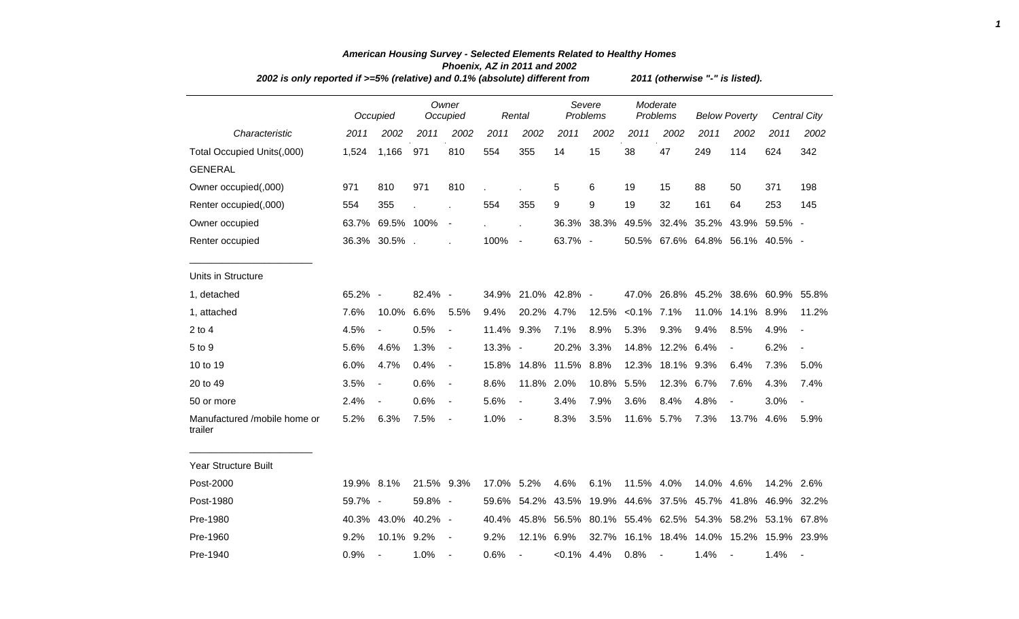|                                         | 2002 is only reported if >=5% (relative) and 0.1% (absolute) different from |                          |                     |                          |       |                          |                |                                                       |                   |                          | 2011 (otherwise "-" is listed). |                                           |            |                          |  |  |  |  |  |  |
|-----------------------------------------|-----------------------------------------------------------------------------|--------------------------|---------------------|--------------------------|-------|--------------------------|----------------|-------------------------------------------------------|-------------------|--------------------------|---------------------------------|-------------------------------------------|------------|--------------------------|--|--|--|--|--|--|
|                                         |                                                                             | Occupied                 |                     | Owner<br>Occupied        |       | Rental                   |                | Severe<br>Problems                                    |                   | Moderate<br>Problems     | <b>Below Poverty</b>            |                                           |            | <b>Central City</b>      |  |  |  |  |  |  |
| Characteristic                          | 2011                                                                        | 2002                     | 2011                | 2002                     | 2011  | 2002                     | 2011           | 2002                                                  | 2011              | 2002                     | 2011                            | 2002                                      | 2011       | 2002                     |  |  |  |  |  |  |
| Total Occupied Units(,000)              | 1,524                                                                       | 1,166                    | 971                 | 810                      | 554   | 355                      | 14             | 15                                                    | 38                | 47                       | 249                             | 114                                       | 624        | 342                      |  |  |  |  |  |  |
| <b>GENERAL</b>                          |                                                                             |                          |                     |                          |       |                          |                |                                                       |                   |                          |                                 |                                           |            |                          |  |  |  |  |  |  |
| Owner occupied(,000)                    | 971                                                                         | 810                      | 971                 | 810                      |       |                          | 5              | 6                                                     | 19                | 15                       | 88                              | 50                                        | 371        | 198                      |  |  |  |  |  |  |
| Renter occupied(,000)                   | 554                                                                         | 355                      |                     |                          | 554   | 355                      | 9              | 9                                                     | 19                | 32                       | 161                             | 64                                        | 253        | 145                      |  |  |  |  |  |  |
| Owner occupied                          | 63.7%                                                                       | 69.5% 100%               |                     | $\blacksquare$           |       |                          |                | 36.3% 38.3%                                           |                   |                          |                                 | 49.5% 32.4% 35.2% 43.9%                   | 59.5% -    |                          |  |  |  |  |  |  |
| Renter occupied                         |                                                                             | 36.3% 30.5%.             |                     |                          | 100%  | $\blacksquare$           | 63.7% -        |                                                       |                   |                          |                                 | 50.5% 67.6% 64.8% 56.1% 40.5% -           |            |                          |  |  |  |  |  |  |
| Units in Structure                      |                                                                             |                          |                     |                          |       |                          |                |                                                       |                   |                          |                                 |                                           |            |                          |  |  |  |  |  |  |
| 1, detached                             | 65.2% -                                                                     |                          | 82.4% -             |                          |       | 34.9% 21.0% 42.8% -      |                |                                                       |                   |                          |                                 | 47.0% 26.8% 45.2% 38.6% 60.9% 55.8%       |            |                          |  |  |  |  |  |  |
| 1, attached                             | 7.6%                                                                        | 10.0%                    | 6.6%                | 5.5%                     | 9.4%  | 20.2% 4.7%               |                |                                                       | 12.5% < 0.1% 7.1% |                          | 11.0%                           | 14.1% 8.9%                                |            | 11.2%                    |  |  |  |  |  |  |
| 2 to 4                                  | 4.5%                                                                        | $\blacksquare$           | 0.5%                | $\overline{\phantom{a}}$ | 11.4% | 9.3%                     | 7.1%           | 8.9%                                                  | 5.3%              | 9.3%                     | 9.4%                            | 8.5%                                      | 4.9%       | $\overline{\phantom{a}}$ |  |  |  |  |  |  |
| 5 to 9                                  | 5.6%                                                                        | 4.6%                     | 1.3%                | $\blacksquare$           | 13.3% | $\overline{\phantom{a}}$ | 20.2%          | 3.3%                                                  | 14.8%             | 12.2% 6.4%               |                                 | $\blacksquare$                            | 6.2%       | $\blacksquare$           |  |  |  |  |  |  |
| 10 to 19                                | 6.0%                                                                        | 4.7%                     | 0.4%                | $\blacksquare$           |       | 15.8% 14.8% 11.5% 8.8%   |                |                                                       | 12.3%             | 18.1%                    | 9.3%                            | 6.4%                                      | 7.3%       | 5.0%                     |  |  |  |  |  |  |
| 20 to 49                                | 3.5%                                                                        | $\overline{\phantom{a}}$ | 0.6%                | $\blacksquare$           | 8.6%  | 11.8% 2.0%               |                | 10.8%                                                 | 5.5%              | 12.3%                    | 6.7%                            | 7.6%                                      | 4.3%       | 7.4%                     |  |  |  |  |  |  |
| 50 or more                              | 2.4%                                                                        | $\blacksquare$           | 0.6%                | $\blacksquare$           | 5.6%  | $\overline{\phantom{a}}$ | 3.4%           | 7.9%                                                  | 3.6%              | 8.4%                     | 4.8%                            | $\blacksquare$                            | 3.0%       | $\overline{\phantom{a}}$ |  |  |  |  |  |  |
| Manufactured /mobile home or<br>trailer | 5.2%                                                                        | 6.3%                     | 7.5%                | $\overline{\phantom{a}}$ | 1.0%  | $\blacksquare$           | 8.3%           | 3.5%                                                  | 11.6% 5.7%        |                          | 7.3%                            | 13.7%                                     | 4.6%       | 5.9%                     |  |  |  |  |  |  |
| <b>Year Structure Built</b>             |                                                                             |                          |                     |                          |       |                          |                |                                                       |                   |                          |                                 |                                           |            |                          |  |  |  |  |  |  |
| Post-2000                               | 19.9% 8.1%                                                                  |                          | 21.5% 9.3%          |                          | 17.0% | 5.2%                     | 4.6%           | 6.1%                                                  | 11.5% 4.0%        |                          | 14.0%                           | 4.6%                                      | 14.2% 2.6% |                          |  |  |  |  |  |  |
| Post-1980                               | 59.7% -                                                                     |                          | 59.8% -             |                          | 59.6% | 54.2%                    |                | 43.5% 19.9% 44.6% 37.5% 45.7% 41.8% 46.9%             |                   |                          |                                 |                                           |            | 32.2%                    |  |  |  |  |  |  |
| Pre-1980                                |                                                                             |                          | 40.3% 43.0% 40.2% - |                          | 40.4% |                          |                | 45.8% 56.5% 80.1% 55.4% 62.5% 54.3% 58.2% 53.1% 67.8% |                   |                          |                                 |                                           |            |                          |  |  |  |  |  |  |
| Pre-1960                                | 9.2%                                                                        | 10.1% 9.2%               |                     | $\overline{\phantom{a}}$ | 9.2%  | 12.1%                    | 6.9%           |                                                       |                   |                          |                                 | 32.7% 16.1% 18.4% 14.0% 15.2% 15.9% 23.9% |            |                          |  |  |  |  |  |  |
| Pre-1940                                | 0.9%                                                                        | $\overline{\phantom{a}}$ | 1.0%                | $\overline{\phantom{a}}$ | 0.6%  | $\blacksquare$           | $< 0.1\%$ 4.4% |                                                       | 0.8%              | $\overline{\phantom{a}}$ | 1.4%                            |                                           | 1.4%       | $\overline{\phantom{a}}$ |  |  |  |  |  |  |

## *American Housing Survey - Selected Elements Related to Healthy Homes Phoenix, AZ in 2011 and 2002*

*1*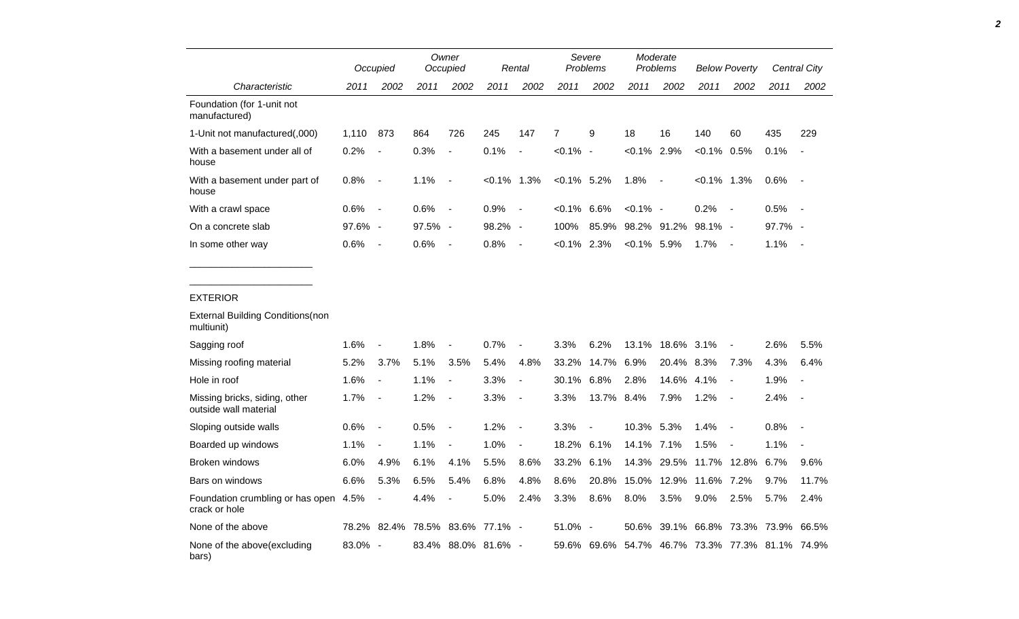|                                                        |         | Occupied                 |         | Owner<br>Occupied        |               | Rental                   |                | Severe<br><b>Problems</b> |                                           | Moderate<br>Problems     |                | <b>Below Poverty</b>     |         | Central City             |
|--------------------------------------------------------|---------|--------------------------|---------|--------------------------|---------------|--------------------------|----------------|---------------------------|-------------------------------------------|--------------------------|----------------|--------------------------|---------|--------------------------|
| Characteristic                                         | 2011    | 2002                     | 2011    | 2002                     | 2011          | 2002                     | 2011           | 2002                      | 2011                                      | 2002                     | 2011           | 2002                     | 2011    | 2002                     |
| Foundation (for 1-unit not<br>manufactured)            |         |                          |         |                          |               |                          |                |                           |                                           |                          |                |                          |         |                          |
| 1-Unit not manufactured(,000)                          | 1,110   | 873                      | 864     | 726                      | 245           | 147                      | $\overline{7}$ | 9                         | 18                                        | 16                       | 140            | 60                       | 435     | 229                      |
| With a basement under all of<br>house                  | 0.2%    |                          | 0.3%    | $\blacksquare$           | 0.1%          | $\blacksquare$           | $< 0.1\%$      | $\sim$                    | $< 0.1\%$ 2.9%                            |                          | $< 0.1\%$ 0.5% |                          | 0.1%    | $\overline{\phantom{a}}$ |
| With a basement under part of<br>house                 | 0.8%    | $\overline{\phantom{a}}$ | 1.1%    | $\overline{\phantom{a}}$ | $<0.1\%$ 1.3% |                          | $<0.1\%$ 5.2%  |                           | 1.8%                                      | $\overline{\phantom{a}}$ | $<0.1\%$ 1.3%  |                          | 0.6%    | $\overline{\phantom{a}}$ |
| With a crawl space                                     | 0.6%    | $\overline{\phantom{a}}$ | 0.6%    | $\blacksquare$           | 0.9%          | $\blacksquare$           | $< 0.1\%$      | 6.6%                      | $< 0.1\%$ -                               |                          | 0.2%           | $\sim$                   | 0.5%    | $\overline{\phantom{a}}$ |
| On a concrete slab                                     | 97.6% - |                          | 97.5% - |                          | 98.2% -       |                          | 100%           | 85.9%                     |                                           | 98.2% 91.2%              | $98.1\%$ -     |                          | 97.7% - |                          |
| In some other way                                      | 0.6%    | $\overline{\phantom{a}}$ | 0.6%    | $\blacksquare$           | 0.8%          | $\overline{\phantom{a}}$ | $<0.1\%$ 2.3%  |                           | $<0.1\%$ 5.9%                             |                          | 1.7%           | $\sim$                   | 1.1%    | $\overline{\phantom{a}}$ |
|                                                        |         |                          |         |                          |               |                          |                |                           |                                           |                          |                |                          |         |                          |
| <b>EXTERIOR</b>                                        |         |                          |         |                          |               |                          |                |                           |                                           |                          |                |                          |         |                          |
| <b>External Building Conditions (non</b><br>multiunit) |         |                          |         |                          |               |                          |                |                           |                                           |                          |                |                          |         |                          |
| Sagging roof                                           | 1.6%    |                          | 1.8%    |                          | 0.7%          | $\blacksquare$           | 3.3%           | 6.2%                      | 13.1%                                     | 18.6% 3.1%               |                |                          | 2.6%    | 5.5%                     |
| Missing roofing material                               | 5.2%    | 3.7%                     | 5.1%    | 3.5%                     | 5.4%          | 4.8%                     | 33.2%          | 14.7%                     | 6.9%                                      | 20.4%                    | 8.3%           | 7.3%                     | 4.3%    | 6.4%                     |
| Hole in roof                                           | 1.6%    | $\overline{\phantom{a}}$ | 1.1%    | $\overline{a}$           | 3.3%          | $\overline{\phantom{a}}$ | 30.1%          | 6.8%                      | 2.8%                                      | 14.6% 4.1%               |                | $\overline{\phantom{a}}$ | 1.9%    | $\overline{\phantom{a}}$ |
| Missing bricks, siding, other<br>outside wall material | 1.7%    | $\overline{a}$           | 1.2%    | $\overline{a}$           | 3.3%          | $\overline{\phantom{a}}$ | 3.3%           | 13.7% 8.4%                |                                           | 7.9%                     | 1.2%           | $\overline{\phantom{a}}$ | 2.4%    | $\blacksquare$           |
| Sloping outside walls                                  | 0.6%    | $\overline{\phantom{a}}$ | 0.5%    | $\blacksquare$           | 1.2%          | $\overline{\phantom{a}}$ | 3.3%           |                           | 10.3% 5.3%                                |                          | 1.4%           | $\blacksquare$           | 0.8%    | $\blacksquare$           |
| Boarded up windows                                     | 1.1%    | $\blacksquare$           | 1.1%    | $\overline{a}$           | 1.0%          | $\blacksquare$           | 18.2%          | 6.1%                      | 14.1%                                     | 7.1%                     | 1.5%           | $\overline{\phantom{a}}$ | 1.1%    |                          |
| Broken windows                                         | 6.0%    | 4.9%                     | 6.1%    | 4.1%                     | 5.5%          | 8.6%                     | 33.2%          | 6.1%                      |                                           | 14.3% 29.5%              |                | 11.7% 12.8%              | 6.7%    | 9.6%                     |
| Bars on windows                                        | 6.6%    | 5.3%                     | 6.5%    | 5.4%                     | 6.8%          | 4.8%                     | 8.6%           | 20.8%                     | 15.0%                                     | 12.9%                    | 11.6%          | 7.2%                     | 9.7%    | 11.7%                    |
| Foundation crumbling or has open<br>crack or hole      | 4.5%    | $\overline{\phantom{a}}$ | 4.4%    | $\overline{a}$           | 5.0%          | 2.4%                     | 3.3%           | 8.6%                      | 8.0%                                      | 3.5%                     | $9.0\%$        | 2.5%                     | 5.7%    | 2.4%                     |
| None of the above                                      | 78.2%   | 82.4%                    | 78.5%   | 83.6%                    | 77.1% -       |                          | 51.0%          | $\overline{\phantom{a}}$  | 50.6%                                     | 39.1%                    |                | 66.8% 73.3%              | 73.9%   | 66.5%                    |
| None of the above(excluding<br>bars)                   | 83.0% - |                          | 83.4%   | 88.0% 81.6% -            |               |                          | 59.6%          |                           | 69.6% 54.7% 46.7% 73.3% 77.3% 81.1% 74.9% |                          |                |                          |         |                          |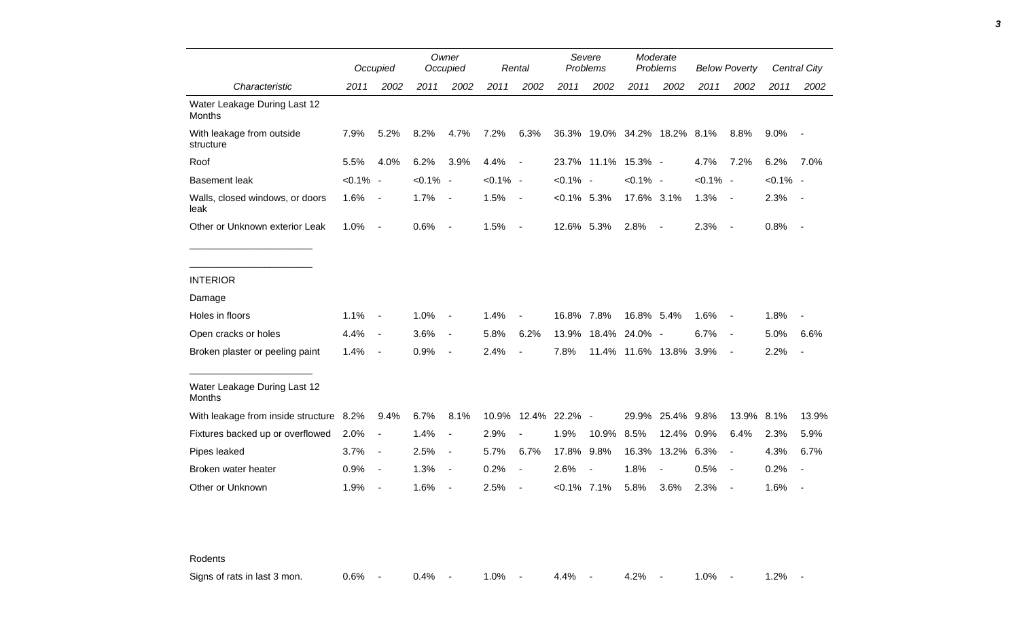|                                               |             | Occupied                 |             | Owner<br>Occupied        |             | Rental                   |                | Severe<br>Problems           |                   | Moderate<br>Problems     |             | <b>Below Poverty</b>     |             | Central City             |
|-----------------------------------------------|-------------|--------------------------|-------------|--------------------------|-------------|--------------------------|----------------|------------------------------|-------------------|--------------------------|-------------|--------------------------|-------------|--------------------------|
| Characteristic                                | 2011        | 2002                     | 2011        | 2002                     | 2011        | 2002                     | 2011           | 2002                         | 2011              | 2002                     | 2011        | 2002                     | 2011        | 2002                     |
| Water Leakage During Last 12<br>Months        |             |                          |             |                          |             |                          |                |                              |                   |                          |             |                          |             |                          |
| With leakage from outside<br>structure        | 7.9%        | 5.2%                     | 8.2%        | 4.7%                     | 7.2%        | 6.3%                     |                | 36.3% 19.0% 34.2% 18.2% 8.1% |                   |                          |             | 8.8%                     | $9.0\%$     |                          |
| Roof                                          | 5.5%        | 4.0%                     | 6.2%        | 3.9%                     | 4.4%        | $\overline{\phantom{a}}$ |                | 23.7% 11.1% 15.3% -          |                   |                          | 4.7%        | 7.2%                     | 6.2%        | 7.0%                     |
| <b>Basement leak</b>                          | $< 0.1\%$ - |                          | $< 0.1\%$ - |                          | $< 0.1\%$ - |                          | $< 0.1\%$ -    |                              | $< 0.1\%$ -       |                          | $< 0.1\%$ - |                          | $< 0.1\%$ - |                          |
| Walls, closed windows, or doors<br>leak       | 1.6%        | $\overline{\phantom{a}}$ | 1.7%        | $\overline{\phantom{a}}$ | 1.5%        | $\blacksquare$           | $< 0.1\%$ 5.3% |                              | 17.6% 3.1%        |                          | 1.3%        | $\sim$                   | 2.3%        | $\sim$                   |
| Other or Unknown exterior Leak                | 1.0%        | $\overline{a}$           | 0.6%        | $\overline{\phantom{a}}$ | 1.5%        | $\blacksquare$           | 12.6% 5.3%     |                              | 2.8%              | $\overline{\phantom{a}}$ | 2.3%        | $\overline{\phantom{a}}$ | 0.8%        | $\sim$                   |
|                                               |             |                          |             |                          |             |                          |                |                              |                   |                          |             |                          |             |                          |
| <b>INTERIOR</b>                               |             |                          |             |                          |             |                          |                |                              |                   |                          |             |                          |             |                          |
| Damage                                        |             |                          |             |                          |             |                          |                |                              |                   |                          |             |                          |             |                          |
| Holes in floors                               | 1.1%        | $\blacksquare$           | 1.0%        | $\overline{\phantom{a}}$ | 1.4%        |                          | 16.8% 7.8%     |                              | 16.8% 5.4%        |                          | 1.6%        | $\overline{\phantom{a}}$ | 1.8%        |                          |
| Open cracks or holes                          | 4.4%        | $\overline{\phantom{a}}$ | 3.6%        | $\blacksquare$           | 5.8%        | 6.2%                     | 13.9%          | 18.4%                        | 24.0% -           |                          | 6.7%        | $\blacksquare$           | 5.0%        | 6.6%                     |
| Broken plaster or peeling paint               | 1.4%        | $\overline{\phantom{a}}$ | 0.9%        | $\overline{\phantom{a}}$ | 2.4%        | $\blacksquare$           | 7.8%           |                              | 11.4% 11.6% 13.8% |                          | 3.9%        | $\overline{\phantom{a}}$ | 2.2%        | $\overline{\phantom{a}}$ |
| Water Leakage During Last 12<br><b>Months</b> |             |                          |             |                          |             |                          |                |                              |                   |                          |             |                          |             |                          |
| With leakage from inside structure 8.2%       |             | 9.4%                     | 6.7%        | 8.1%                     | 10.9%       |                          | 12.4% 22.2% -  |                              | 29.9%             | 25.4% 9.8%               |             | 13.9%                    | 8.1%        | 13.9%                    |
| Fixtures backed up or overflowed              | 2.0%        | $\blacksquare$           | 1.4%        | $\blacksquare$           | 2.9%        |                          | 1.9%           | 10.9%                        | 8.5%              | 12.4%                    | 0.9%        | 6.4%                     | 2.3%        | 5.9%                     |
| Pipes leaked                                  | 3.7%        | $\overline{a}$           | 2.5%        | $\blacksquare$           | 5.7%        | 6.7%                     | 17.8%          | 9.8%                         | 16.3%             | 13.2%                    | 6.3%        | $\overline{\phantom{a}}$ | 4.3%        | 6.7%                     |
| Broken water heater                           | 0.9%        | $\overline{\phantom{a}}$ | 1.3%        | $\overline{\phantom{a}}$ | 0.2%        |                          | 2.6%           |                              | 1.8%              |                          | 0.5%        | $\overline{\phantom{a}}$ | 0.2%        |                          |
| Other or Unknown                              | 1.9%        | $\overline{\phantom{a}}$ | 1.6%        | $\overline{\phantom{a}}$ | 2.5%        |                          | $< 0.1\%$ 7.1% |                              | 5.8%              | 3.6%                     | 2.3%        | $\overline{\phantom{a}}$ | 1.6%        |                          |

Rodents

Signs of rats in last 3 mon. <br>
0.6% - 0.4% - 1.0% - 4.4% - 4.2% - 1.0% - 1.0% - 1.2% -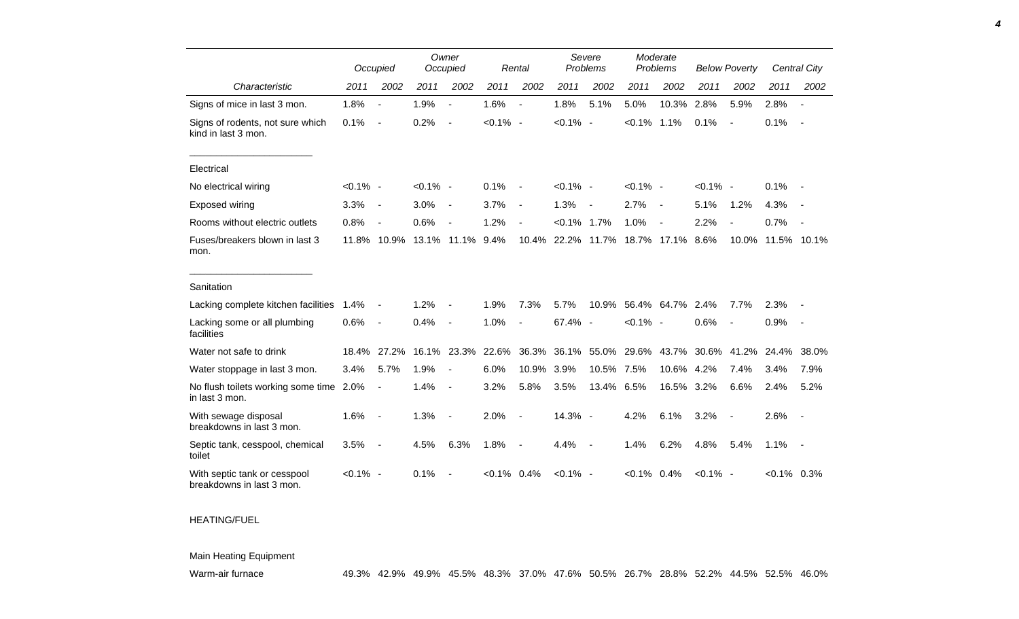|                                                           |             | Occupied                 |             | Owner<br>Occupied        |                | Rental                   |             | Severe<br>Problems       |                | Moderate<br>Problems     |             | <b>Below Poverty</b>     |               | Central City   |
|-----------------------------------------------------------|-------------|--------------------------|-------------|--------------------------|----------------|--------------------------|-------------|--------------------------|----------------|--------------------------|-------------|--------------------------|---------------|----------------|
| Characteristic                                            | 2011        | 2002                     | 2011        | 2002                     | 2011           | 2002                     | 2011        | 2002                     | 2011           | 2002                     | 2011        | 2002                     | 2011          | 2002           |
| Signs of mice in last 3 mon.                              | 1.8%        | $\overline{\phantom{a}}$ | 1.9%        | $\blacksquare$           | 1.6%           | $\overline{\phantom{a}}$ | 1.8%        | 5.1%                     | 5.0%           | 10.3%                    | 2.8%        | 5.9%                     | 2.8%          | $\blacksquare$ |
| Signs of rodents, not sure which<br>kind in last 3 mon.   | 0.1%        | $\overline{\phantom{a}}$ | 0.2%        | $\overline{\phantom{a}}$ | $< 0.1\%$ -    |                          | $< 0.1\%$ - |                          | $< 0.1\%$ 1.1% |                          | 0.1%        | $\overline{\phantom{a}}$ | 0.1%          | $\sim$         |
| Electrical                                                |             |                          |             |                          |                |                          |             |                          |                |                          |             |                          |               |                |
| No electrical wiring                                      | $< 0.1\%$ - |                          | $< 0.1\%$ - |                          | 0.1%           | $\blacksquare$           | $< 0.1\%$ - |                          | $< 0.1\%$ -    |                          | $< 0.1\%$ - |                          | 0.1%          |                |
| Exposed wiring                                            | 3.3%        | $\overline{\phantom{a}}$ | 3.0%        | $\blacksquare$           | 3.7%           | $\overline{\phantom{a}}$ | 1.3%        | $\sim$                   | 2.7%           | $\overline{\phantom{a}}$ | 5.1%        | 1.2%                     | 4.3%          |                |
| Rooms without electric outlets                            | 0.8%        | $\overline{a}$           | 0.6%        |                          | 1.2%           |                          | $< 0.1\%$   | 1.7%                     | 1.0%           | $\overline{\phantom{a}}$ | 2.2%        | $\overline{\phantom{a}}$ | 0.7%          |                |
| Fuses/breakers blown in last 3<br>mon.                    |             | 11.8% 10.9% 13.1%        |             | 11.1%                    | 9.4%           | 10.4%                    | 22.2%       | 11.7%                    | 18.7%          | 17.1%                    | 8.6%        | 10.0%                    |               | 11.5% 10.1%    |
| Sanitation                                                |             |                          |             |                          |                |                          |             |                          |                |                          |             |                          |               |                |
| Lacking complete kitchen facilities                       | 1.4%        | $\overline{\phantom{a}}$ | 1.2%        |                          | 1.9%           | 7.3%                     | 5.7%        |                          |                | 10.9% 56.4% 64.7% 2.4%   |             | 7.7%                     | 2.3%          |                |
| Lacking some or all plumbing<br>facilities                | 0.6%        | $\overline{\phantom{a}}$ | 0.4%        | $\overline{\phantom{a}}$ | 1.0%           | $\overline{\phantom{a}}$ | 67.4% -     |                          | $< 0.1\%$ -    |                          | 0.6%        | $\overline{\phantom{a}}$ | 0.9%          | $\sim$         |
| Water not safe to drink                                   | 18.4%       | 27.2%                    |             | 16.1% 23.3%              | 22.6%          | 36.3%                    | 36.1%       | 55.0%                    | 29.6%          | 43.7%                    | 30.6%       | 41.2%                    | 24.4%         | 38.0%          |
| Water stoppage in last 3 mon.                             | 3.4%        | 5.7%                     | 1.9%        |                          | 6.0%           | 10.9%                    | 3.9%        | 10.5%                    | 7.5%           | 10.6%                    | 4.2%        | 7.4%                     | 3.4%          | 7.9%           |
| No flush toilets working some time<br>in last 3 mon.      | 2.0%        | $\overline{\phantom{a}}$ | 1.4%        |                          | 3.2%           | 5.8%                     | 3.5%        | 13.4%                    | 6.5%           | 16.5% 3.2%               |             | 6.6%                     | 2.4%          | 5.2%           |
| With sewage disposal<br>breakdowns in last 3 mon.         | 1.6%        | $\overline{\phantom{a}}$ | 1.3%        | $\overline{\phantom{a}}$ | 2.0%           | $\overline{\phantom{a}}$ | 14.3% -     |                          | 4.2%           | 6.1%                     | 3.2%        | $\blacksquare$           | 2.6%          | $\sim$         |
| Septic tank, cesspool, chemical<br>toilet                 | 3.5%        | $\overline{\phantom{a}}$ | 4.5%        | 6.3%                     | 1.8%           | $\overline{\phantom{a}}$ | 4.4%        | $\overline{\phantom{a}}$ | 1.4%           | 6.2%                     | 4.8%        | 5.4%                     | 1.1%          | $\sim$ $-$     |
| With septic tank or cesspool<br>breakdowns in last 3 mon. | $< 0.1\%$ - |                          | 0.1%        |                          | $< 0.1\%$ 0.4% |                          | $< 0.1\%$ - |                          | $< 0.1\%$ 0.4% |                          | $< 0.1\%$ - |                          | $<0.1\%$ 0.3% |                |

## HEATING/FUEL

## Main Heating Equipment

Warm-air furnace 49.3% 42.9% 49.9% 45.5% 48.3% 37.0% 47.6% 50.5% 26.7% 28.8% 52.2% 44.5% 52.5% 46.0%

*4*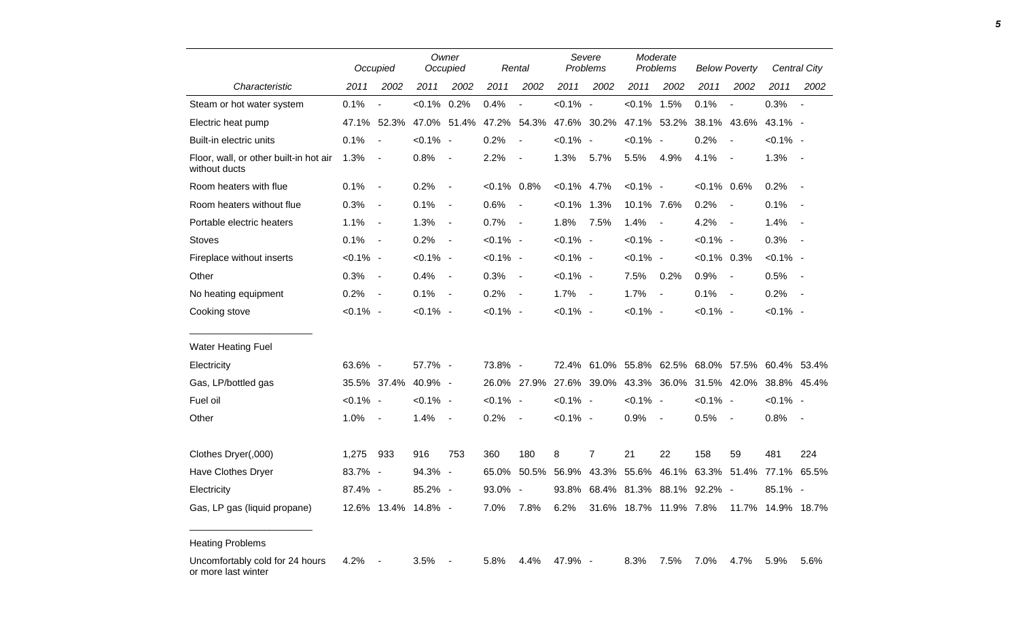|                                                         | Occupied    |                          |                | Owner<br>Occupied        |                | Rental                   |                | Severe<br>Problems                              |                | Moderate<br>Problems     |                         | <b>Below Poverty</b>     |             | Central City   |
|---------------------------------------------------------|-------------|--------------------------|----------------|--------------------------|----------------|--------------------------|----------------|-------------------------------------------------|----------------|--------------------------|-------------------------|--------------------------|-------------|----------------|
| Characteristic                                          | 2011        | 2002                     | 2011           | 2002                     | 2011           | 2002                     | 2011           | 2002                                            | 2011           | 2002                     | 2011                    | 2002                     | 2011        | 2002           |
| Steam or hot water system                               | 0.1%        |                          | $< 0.1\%$ 0.2% |                          | 0.4%           | $\overline{a}$           | $< 0.1\%$ -    |                                                 | $< 0.1\%$ 1.5% |                          | 0.1%                    | $\overline{a}$           | 0.3%        | $\blacksquare$ |
| Electric heat pump                                      | 47.1%       | 52.3%                    | 47.0%          | 51.4%                    | 47.2%          | 54.3%                    |                | 47.6% 30.2%                                     | 47.1%          | 53.2%                    | 38.1%                   | 43.6%                    | 43.1% -     |                |
| Built-in electric units                                 | 0.1%        | $\overline{\phantom{a}}$ | $< 0.1\%$ -    |                          | 0.2%           | $\blacksquare$           | $< 0.1\%$ -    |                                                 | $< 0.1\%$ -    |                          | 0.2%                    | $\blacksquare$           | $< 0.1\%$ - |                |
| Floor, wall, or other built-in hot air<br>without ducts | 1.3%        | $\overline{\phantom{a}}$ | 0.8%           | $\overline{\phantom{a}}$ | 2.2%           |                          | 1.3%           | 5.7%                                            | 5.5%           | 4.9%                     | 4.1%                    | $\blacksquare$           | 1.3%        | $\sim$         |
| Room heaters with flue                                  | 0.1%        | $\overline{\phantom{a}}$ | 0.2%           | $\overline{\phantom{a}}$ | $< 0.1\%$ 0.8% |                          | $< 0.1\%$ 4.7% |                                                 | $< 0.1\%$ -    |                          | $< 0.1\%$ 0.6%          |                          | 0.2%        | $\sim$         |
| Room heaters without flue                               | 0.3%        | $\blacksquare$           | 0.1%           | $\blacksquare$           | 0.6%           | $\overline{\phantom{a}}$ | $< 0.1\%$ 1.3% |                                                 | 10.1% 7.6%     |                          | 0.2%                    | $\blacksquare$           | 0.1%        | $\blacksquare$ |
| Portable electric heaters                               | 1.1%        | $\blacksquare$           | 1.3%           | $\overline{\phantom{a}}$ | 0.7%           | $\overline{\phantom{a}}$ | 1.8%           | 7.5%                                            | 1.4%           | $\blacksquare$           | 4.2%                    | $\blacksquare$           | 1.4%        |                |
| <b>Stoves</b>                                           | 0.1%        | $\blacksquare$           | 0.2%           | $\blacksquare$           | $< 0.1\%$ -    |                          | $< 0.1\%$ -    |                                                 | $< 0.1\%$ -    |                          | $< 0.1\%$ -             |                          | 0.3%        |                |
| Fireplace without inserts                               | $< 0.1\%$ - |                          | $< 0.1\%$ -    |                          | $< 0.1\%$ -    |                          | $< 0.1\%$ -    |                                                 | $< 0.1\%$ -    |                          | $< 0.1\%$ 0.3%          |                          | $< 0.1\%$ - |                |
| Other                                                   | 0.3%        | $\blacksquare$           | 0.4%           | $\blacksquare$           | 0.3%           | $\blacksquare$           | $< 0.1\%$ -    |                                                 | 7.5%           | 0.2%                     | 0.9%                    | $\blacksquare$           | 0.5%        | $\sim$         |
| No heating equipment                                    | 0.2%        | $\blacksquare$           | 0.1%           | $\blacksquare$           | 0.2%           | $\overline{\phantom{a}}$ | 1.7%           | $\blacksquare$                                  | 1.7%           | $\overline{\phantom{a}}$ | 0.1%                    | $\overline{\phantom{a}}$ | 0.2%        | $\sim$         |
| Cooking stove                                           | $< 0.1\%$ - |                          | $< 0.1\%$ -    |                          | $< 0.1\%$ -    |                          | $< 0.1\%$ -    |                                                 | $< 0.1\%$ -    |                          | $< 0.1\%$ -             |                          | $< 0.1\%$ - |                |
| <b>Water Heating Fuel</b>                               |             |                          |                |                          |                |                          |                |                                                 |                |                          |                         |                          |             |                |
| Electricity                                             | 63.6% -     |                          | 57.7% -        |                          | 73.8% -        |                          |                | 72.4% 61.0% 55.8% 62.5% 68.0% 57.5% 60.4% 53.4% |                |                          |                         |                          |             |                |
| Gas, LP/bottled gas                                     |             | 35.5% 37.4%              | 40.9% -        |                          |                | 26.0% 27.9%              |                | 27.6% 39.0%                                     |                |                          | 43.3% 36.0% 31.5% 42.0% |                          | 38.8% 45.4% |                |
| Fuel oil                                                | $< 0.1\%$ - |                          | $< 0.1\%$ -    |                          | $< 0.1\%$ -    |                          | $< 0.1\%$ -    |                                                 | $< 0.1\%$ -    |                          | $< 0.1\%$ -             |                          | $< 0.1\%$ - |                |
| Other                                                   | 1.0%        | $\blacksquare$           | 1.4%           | $\overline{\phantom{a}}$ | 0.2%           | $\overline{\phantom{a}}$ | $< 0.1\%$ -    |                                                 | 0.9%           | $\blacksquare$           | 0.5%                    | $\blacksquare$           | 0.8%        | $\sim$         |
| Clothes Dryer(,000)                                     | 1,275       | 933                      | 916            | 753                      | 360            | 180                      | 8              | $\overline{7}$                                  | 21             | 22                       | 158                     | 59                       | 481         | 224            |
| Have Clothes Dryer                                      | 83.7% -     |                          | 94.3% -        |                          | 65.0%          |                          | 50.5% 56.9%    | 43.3%                                           |                | 55.6% 46.1%              | 63.3%                   | 51.4%                    | 77.1%       | 65.5%          |
| Electricity                                             | 87.4% -     |                          | 85.2% -        |                          | 93.0%          | $\sim$                   | 93.8%          |                                                 |                |                          | 68.4% 81.3% 88.1% 92.2% | $\sim$                   | $85.1\%$ -  |                |
| Gas, LP gas (liquid propane)                            |             | 12.6% 13.4% 14.8% -      |                |                          | 7.0%           | 7.8%                     | 6.2%           |                                                 |                | 31.6% 18.7% 11.9% 7.8%   |                         | 11.7%                    |             | 14.9% 18.7%    |

Heating Problems

Uncomfortably cold for 24 hours or more last winter 4.2% - 3.5% - 5.8% 4.4% 47.9% - 8.3% 7.5% 7.0% 4.7% 5.9% 5.6%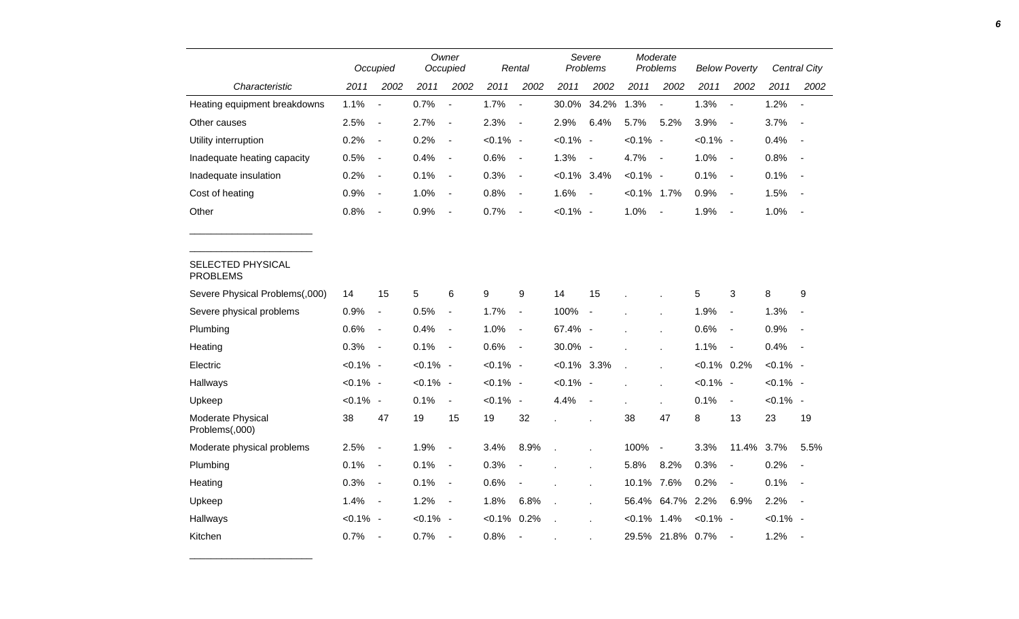|                                      | Owner<br>Occupied<br>Occupied |                              |             |                              | Rental      | Severe<br>Problems       |                | Moderate<br>Problems     |                | <b>Below Poverty</b>     |                |                          | <b>Central City</b> |                          |
|--------------------------------------|-------------------------------|------------------------------|-------------|------------------------------|-------------|--------------------------|----------------|--------------------------|----------------|--------------------------|----------------|--------------------------|---------------------|--------------------------|
| Characteristic                       | 2011                          | 2002                         | 2011        | 2002                         | 2011        | 2002                     | 2011           | 2002                     | 2011           | 2002                     | 2011           | 2002                     | 2011                | 2002                     |
| Heating equipment breakdowns         | 1.1%                          | $\overline{a}$               | 0.7%        | $\overline{\phantom{a}}$     | 1.7%        | $\overline{\phantom{a}}$ | 30.0%          | 34.2%                    | 1.3%           | $\overline{\phantom{a}}$ | 1.3%           | $\overline{\phantom{a}}$ | 1.2%                | $\overline{\phantom{a}}$ |
| Other causes                         | 2.5%                          | $\overline{\phantom{a}}$     | 2.7%        | $\blacksquare$               | 2.3%        | $\overline{\phantom{a}}$ | 2.9%           | 6.4%                     | 5.7%           | 5.2%                     | 3.9%           | $\blacksquare$           | 3.7%                |                          |
| Utility interruption                 | 0.2%                          | $\blacksquare$               | 0.2%        | $\blacksquare$               | $< 0.1\%$ - |                          | $< 0.1\%$ -    |                          | $< 0.1\%$ -    |                          | $< 0.1\%$ -    |                          | 0.4%                | $\blacksquare$           |
| Inadequate heating capacity          | 0.5%                          | $\overline{\phantom{a}}$     | 0.4%        | $\overline{\phantom{a}}$     | 0.6%        | $\blacksquare$           | 1.3%           | $\overline{\phantom{a}}$ | 4.7%           | $\overline{\phantom{a}}$ | 1.0%           | $\sim$                   | 0.8%                | $\sim$                   |
| Inadequate insulation                | 0.2%                          | $\blacksquare$               | 0.1%        | $\qquad \qquad \blacksquare$ | 0.3%        | $\blacksquare$           | $< 0.1\%$ 3.4% |                          | $< 0.1\%$ -    |                          | 0.1%           | $\blacksquare$           | 0.1%                |                          |
| Cost of heating                      | 0.9%                          | $\blacksquare$               | 1.0%        | $\qquad \qquad \blacksquare$ | 0.8%        | $\blacksquare$           | 1.6%           | $\blacksquare$           | $< 0.1\%$ 1.7% |                          | 0.9%           | $\blacksquare$           | 1.5%                | $\sim$                   |
| Other                                | 0.8%                          | $\overline{\phantom{a}}$     | 0.9%        | $\blacksquare$               | 0.7%        | $\overline{\phantom{a}}$ | $< 0.1\%$ -    |                          | 1.0%           | $\overline{\phantom{a}}$ | 1.9%           | $\overline{\phantom{a}}$ | 1.0%                | $\sim$                   |
|                                      |                               |                              |             |                              |             |                          |                |                          |                |                          |                |                          |                     |                          |
| SELECTED PHYSICAL<br><b>PROBLEMS</b> |                               |                              |             |                              |             |                          |                |                          |                |                          |                |                          |                     |                          |
| Severe Physical Problems(,000)       | 14                            | 15                           | 5           | 6                            | 9           | 9                        | 14             | 15                       |                |                          | 5              | 3                        | 8                   | 9                        |
| Severe physical problems             | 0.9%                          | $\qquad \qquad \blacksquare$ | 0.5%        | $\blacksquare$               | 1.7%        | $\blacksquare$           | 100%           | $\overline{\phantom{a}}$ |                |                          | 1.9%           | $\blacksquare$           | 1.3%                |                          |
| Plumbing                             | 0.6%                          | $\overline{\phantom{a}}$     | 0.4%        | $\blacksquare$               | 1.0%        | $\blacksquare$           | 67.4% -        |                          |                |                          | 0.6%           | $\blacksquare$           | 0.9%                | $\sim$                   |
| Heating                              | 0.3%                          | $\overline{\phantom{a}}$     | 0.1%        | $\blacksquare$               | 0.6%        | $\blacksquare$           | 30.0% -        |                          |                |                          | 1.1%           | $\blacksquare$           | 0.4%                | $\sim$                   |
| Electric                             | $< 0.1\%$ -                   |                              | $< 0.1\%$ - |                              | $< 0.1\%$ - |                          | $< 0.1\%$ 3.3% |                          |                |                          | $< 0.1\%$ 0.2% |                          | $< 0.1\%$ -         |                          |
| Hallways                             | $< 0.1\%$ -                   |                              | $< 0.1\%$ - |                              | $< 0.1\%$ - |                          | $< 0.1\%$ -    |                          |                |                          | $< 0.1\%$ -    |                          | $< 0.1\%$ -         |                          |
| Upkeep                               | $< 0.1\%$ -                   |                              | 0.1%        | $\blacksquare$               | $< 0.1\%$ - |                          | 4.4%           | $\overline{\phantom{a}}$ |                |                          | 0.1%           | $\blacksquare$           | $< 0.1\%$ -         |                          |
| Moderate Physical<br>Problems(,000)  | 38                            | 47                           | 19          | 15                           | 19          | 32                       |                |                          | 38             | 47                       | 8              | 13                       | 23                  | 19                       |
| Moderate physical problems           | 2.5%                          | $\overline{\phantom{a}}$     | 1.9%        | $\qquad \qquad \blacksquare$ | 3.4%        | 8.9%                     |                |                          | 100%           | $\blacksquare$           | 3.3%           | 11.4% 3.7%               |                     | 5.5%                     |
| Plumbing                             | 0.1%                          | $\blacksquare$               | 0.1%        | $\blacksquare$               | 0.3%        |                          |                |                          | 5.8%           | 8.2%                     | 0.3%           | $\overline{\phantom{a}}$ | 0.2%                |                          |
| Heating                              | 0.3%                          | $\overline{\phantom{a}}$     | 0.1%        | $\blacksquare$               | 0.6%        |                          |                | $\mathbf{r}$             | 10.1%          | 7.6%                     | 0.2%           | $\blacksquare$           | 0.1%                | $\sim$                   |
| Upkeep                               | 1.4%                          | $\overline{\phantom{a}}$     | 1.2%        | $\qquad \qquad \blacksquare$ | 1.8%        | 6.8%                     |                | $\mathbf{r}$             | 56.4%          | 64.7% 2.2%               |                | 6.9%                     | 2.2%                | $\sim$                   |
| Hallways                             | $< 0.1\%$ -                   |                              | $< 0.1\%$ - |                              | $< 0.1\%$   | 0.2%                     |                |                          | $< 0.1\%$      | 1.4%                     | $< 0.1\%$ -    |                          | $< 0.1\%$ -         |                          |
| Kitchen                              | 0.7%                          | $\blacksquare$               | 0.7%        | $\overline{a}$               | 0.8%        | $\overline{a}$           |                |                          | 29.5%          | 21.8% 0.7%               |                | $\overline{\phantom{a}}$ | 1.2%                |                          |

\_\_\_\_\_\_\_\_\_\_\_\_\_\_\_\_\_\_\_\_\_\_\_